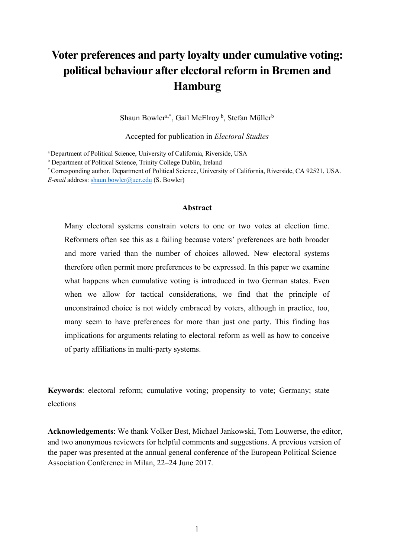# **Voter preferences and party loyalty under cumulative voting: political behaviour after electoral reform in Bremen and Hamburg**

Shaun Bowler<sup>a,\*</sup>, Gail McElroy<sup>b</sup>, Stefan Müller<sup>b</sup>

Accepted for publication in *Electoral Studies*

a Department of Political Science, University of California, Riverside, USA

\* Corresponding author. Department of Political Science, University of California, Riverside, CA 92521, USA. *E-mail* address: shaun.bowler@ucr.edu (S. Bowler)

#### **Abstract**

Many electoral systems constrain voters to one or two votes at election time. Reformers often see this as a failing because voters' preferences are both broader and more varied than the number of choices allowed. New electoral systems therefore often permit more preferences to be expressed. In this paper we examine what happens when cumulative voting is introduced in two German states. Even when we allow for tactical considerations, we find that the principle of unconstrained choice is not widely embraced by voters, although in practice, too, many seem to have preferences for more than just one party. This finding has implications for arguments relating to electoral reform as well as how to conceive of party affiliations in multi-party systems.

**Keywords**: electoral reform; cumulative voting; propensity to vote; Germany; state elections

**Acknowledgements**: We thank Volker Best, Michael Jankowski, Tom Louwerse, the editor, and two anonymous reviewers for helpful comments and suggestions. A previous version of the paper was presented at the annual general conference of the European Political Science Association Conference in Milan, 22–24 June 2017.

<sup>b</sup> Department of Political Science, Trinity College Dublin, Ireland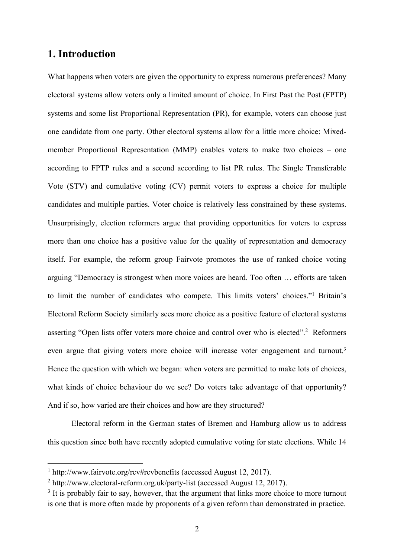### **1. Introduction**

What happens when voters are given the opportunity to express numerous preferences? Many electoral systems allow voters only a limited amount of choice. In First Past the Post (FPTP) systems and some list Proportional Representation (PR), for example, voters can choose just one candidate from one party. Other electoral systems allow for a little more choice: Mixedmember Proportional Representation (MMP) enables voters to make two choices – one according to FPTP rules and a second according to list PR rules. The Single Transferable Vote (STV) and cumulative voting (CV) permit voters to express a choice for multiple candidates and multiple parties. Voter choice is relatively less constrained by these systems. Unsurprisingly, election reformers argue that providing opportunities for voters to express more than one choice has a positive value for the quality of representation and democracy itself. For example, the reform group Fairvote promotes the use of ranked choice voting arguing "Democracy is strongest when more voices are heard. Too often … efforts are taken to limit the number of candidates who compete. This limits voters' choices."1 Britain's Electoral Reform Society similarly sees more choice as a positive feature of electoral systems asserting "Open lists offer voters more choice and control over who is elected". <sup>2</sup> Reformers even argue that giving voters more choice will increase voter engagement and turnout.<sup>3</sup> Hence the question with which we began: when voters are permitted to make lots of choices, what kinds of choice behaviour do we see? Do voters take advantage of that opportunity? And if so, how varied are their choices and how are they structured?

Electoral reform in the German states of Bremen and Hamburg allow us to address this question since both have recently adopted cumulative voting for state elections. While 14

 <sup>1</sup> http://www.fairvote.org/rcv#rcvbenefits (accessed August 12, 2017).

<sup>2</sup> http://www.electoral-reform.org.uk/party-list (accessed August 12, 2017).

 $3$  It is probably fair to say, however, that the argument that links more choice to more turnout is one that is more often made by proponents of a given reform than demonstrated in practice.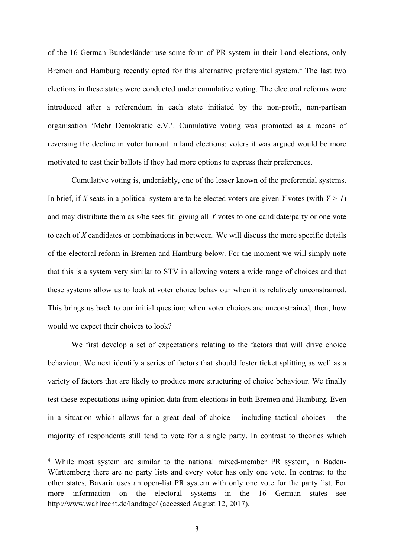of the 16 German Bundesländer use some form of PR system in their Land elections, only Bremen and Hamburg recently opted for this alternative preferential system.<sup>4</sup> The last two elections in these states were conducted under cumulative voting. The electoral reforms were introduced after a referendum in each state initiated by the non-profit, non-partisan organisation 'Mehr Demokratie e.V.'. Cumulative voting was promoted as a means of reversing the decline in voter turnout in land elections; voters it was argued would be more motivated to cast their ballots if they had more options to express their preferences.

Cumulative voting is, undeniably, one of the lesser known of the preferential systems. In brief, if *X* seats in a political system are to be elected voters are given *Y* votes (with  $Y > 1$ ) and may distribute them as s/he sees fit: giving all *Y* votes to one candidate/party or one vote to each of *X* candidates or combinations in between. We will discuss the more specific details of the electoral reform in Bremen and Hamburg below. For the moment we will simply note that this is a system very similar to STV in allowing voters a wide range of choices and that these systems allow us to look at voter choice behaviour when it is relatively unconstrained. This brings us back to our initial question: when voter choices are unconstrained, then, how would we expect their choices to look?

We first develop a set of expectations relating to the factors that will drive choice behaviour. We next identify a series of factors that should foster ticket splitting as well as a variety of factors that are likely to produce more structuring of choice behaviour. We finally test these expectations using opinion data from elections in both Bremen and Hamburg. Even in a situation which allows for a great deal of choice – including tactical choices – the majority of respondents still tend to vote for a single party. In contrast to theories which

 <sup>4</sup> While most system are similar to the national mixed-member PR system, in Baden-Württemberg there are no party lists and every voter has only one vote. In contrast to the other states, Bavaria uses an open-list PR system with only one vote for the party list. For more information on the electoral systems in the 16 German states see http://www.wahlrecht.de/landtage/ (accessed August 12, 2017).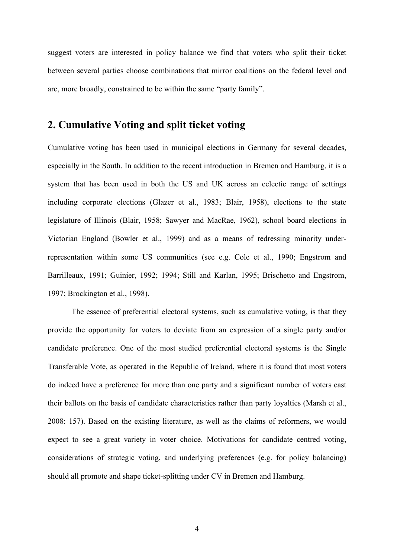suggest voters are interested in policy balance we find that voters who split their ticket between several parties choose combinations that mirror coalitions on the federal level and are, more broadly, constrained to be within the same "party family".

# **2. Cumulative Voting and split ticket voting**

Cumulative voting has been used in municipal elections in Germany for several decades, especially in the South. In addition to the recent introduction in Bremen and Hamburg, it is a system that has been used in both the US and UK across an eclectic range of settings including corporate elections (Glazer et al., 1983; Blair, 1958), elections to the state legislature of Illinois (Blair, 1958; Sawyer and MacRae, 1962), school board elections in Victorian England (Bowler et al., 1999) and as a means of redressing minority underrepresentation within some US communities (see e.g. Cole et al., 1990; Engstrom and Barrilleaux, 1991; Guinier, 1992; 1994; Still and Karlan, 1995; Brischetto and Engstrom, 1997; Brockington et al., 1998).

The essence of preferential electoral systems, such as cumulative voting, is that they provide the opportunity for voters to deviate from an expression of a single party and/or candidate preference. One of the most studied preferential electoral systems is the Single Transferable Vote, as operated in the Republic of Ireland, where it is found that most voters do indeed have a preference for more than one party and a significant number of voters cast their ballots on the basis of candidate characteristics rather than party loyalties (Marsh et al., 2008: 157). Based on the existing literature, as well as the claims of reformers, we would expect to see a great variety in voter choice. Motivations for candidate centred voting, considerations of strategic voting, and underlying preferences (e.g. for policy balancing) should all promote and shape ticket-splitting under CV in Bremen and Hamburg.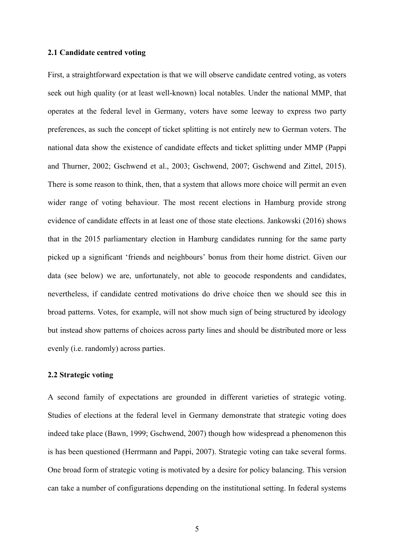### **2.1 Candidate centred voting**

First, a straightforward expectation is that we will observe candidate centred voting, as voters seek out high quality (or at least well-known) local notables. Under the national MMP, that operates at the federal level in Germany, voters have some leeway to express two party preferences, as such the concept of ticket splitting is not entirely new to German voters. The national data show the existence of candidate effects and ticket splitting under MMP (Pappi and Thurner, 2002; Gschwend et al., 2003; Gschwend, 2007; Gschwend and Zittel, 2015). There is some reason to think, then, that a system that allows more choice will permit an even wider range of voting behaviour. The most recent elections in Hamburg provide strong evidence of candidate effects in at least one of those state elections. Jankowski (2016) shows that in the 2015 parliamentary election in Hamburg candidates running for the same party picked up a significant 'friends and neighbours' bonus from their home district. Given our data (see below) we are, unfortunately, not able to geocode respondents and candidates, nevertheless, if candidate centred motivations do drive choice then we should see this in broad patterns. Votes, for example, will not show much sign of being structured by ideology but instead show patterns of choices across party lines and should be distributed more or less evenly (i.e. randomly) across parties.

### **2.2 Strategic voting**

A second family of expectations are grounded in different varieties of strategic voting. Studies of elections at the federal level in Germany demonstrate that strategic voting does indeed take place (Bawn, 1999; Gschwend, 2007) though how widespread a phenomenon this is has been questioned (Herrmann and Pappi, 2007). Strategic voting can take several forms. One broad form of strategic voting is motivated by a desire for policy balancing. This version can take a number of configurations depending on the institutional setting. In federal systems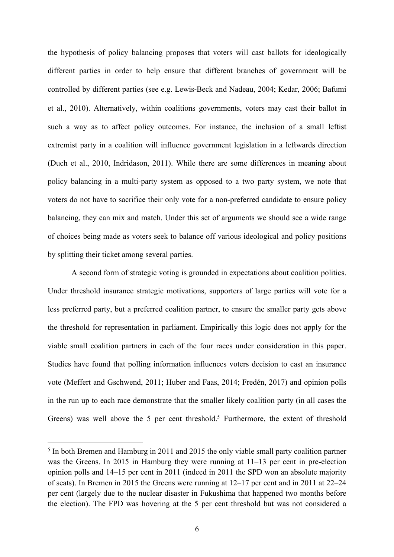the hypothesis of policy balancing proposes that voters will cast ballots for ideologically different parties in order to help ensure that different branches of government will be controlled by different parties (see e.g. Lewis-Beck and Nadeau, 2004; Kedar, 2006; Bafumi et al., 2010). Alternatively, within coalitions governments, voters may cast their ballot in such a way as to affect policy outcomes. For instance, the inclusion of a small leftist extremist party in a coalition will influence government legislation in a leftwards direction (Duch et al., 2010, Indridason, 2011). While there are some differences in meaning about policy balancing in a multi-party system as opposed to a two party system, we note that voters do not have to sacrifice their only vote for a non-preferred candidate to ensure policy balancing, they can mix and match. Under this set of arguments we should see a wide range of choices being made as voters seek to balance off various ideological and policy positions by splitting their ticket among several parties.

A second form of strategic voting is grounded in expectations about coalition politics. Under threshold insurance strategic motivations, supporters of large parties will vote for a less preferred party, but a preferred coalition partner, to ensure the smaller party gets above the threshold for representation in parliament. Empirically this logic does not apply for the viable small coalition partners in each of the four races under consideration in this paper. Studies have found that polling information influences voters decision to cast an insurance vote (Meffert and Gschwend, 2011; Huber and Faas, 2014; Fredén, 2017) and opinion polls in the run up to each race demonstrate that the smaller likely coalition party (in all cases the Greens) was well above the 5 per cent threshold.<sup>5</sup> Furthermore, the extent of threshold

 <sup>5</sup> In both Bremen and Hamburg in 2011 and 2015 the only viable small party coalition partner was the Greens. In 2015 in Hamburg they were running at 11–13 per cent in pre-election opinion polls and 14–15 per cent in 2011 (indeed in 2011 the SPD won an absolute majority of seats). In Bremen in 2015 the Greens were running at 12–17 per cent and in 2011 at 22–24 per cent (largely due to the nuclear disaster in Fukushima that happened two months before the election). The FPD was hovering at the 5 per cent threshold but was not considered a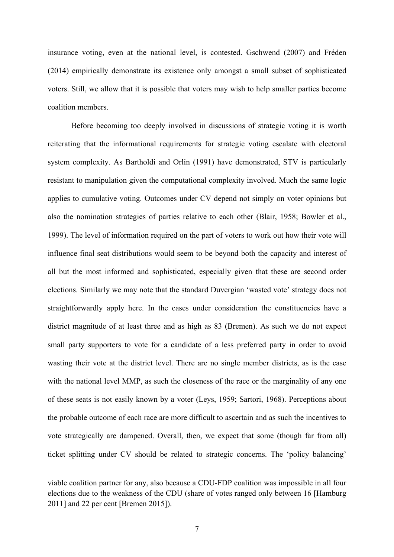insurance voting, even at the national level, is contested. Gschwend (2007) and Fréden (2014) empirically demonstrate its existence only amongst a small subset of sophisticated voters. Still, we allow that it is possible that voters may wish to help smaller parties become coalition members.

Before becoming too deeply involved in discussions of strategic voting it is worth reiterating that the informational requirements for strategic voting escalate with electoral system complexity. As Bartholdi and Orlin (1991) have demonstrated, STV is particularly resistant to manipulation given the computational complexity involved. Much the same logic applies to cumulative voting. Outcomes under CV depend not simply on voter opinions but also the nomination strategies of parties relative to each other (Blair, 1958; Bowler et al., 1999). The level of information required on the part of voters to work out how their vote will influence final seat distributions would seem to be beyond both the capacity and interest of all but the most informed and sophisticated, especially given that these are second order elections. Similarly we may note that the standard Duvergian 'wasted vote' strategy does not straightforwardly apply here. In the cases under consideration the constituencies have a district magnitude of at least three and as high as 83 (Bremen). As such we do not expect small party supporters to vote for a candidate of a less preferred party in order to avoid wasting their vote at the district level. There are no single member districts, as is the case with the national level MMP, as such the closeness of the race or the marginality of any one of these seats is not easily known by a voter (Leys, 1959; Sartori, 1968). Perceptions about the probable outcome of each race are more difficult to ascertain and as such the incentives to vote strategically are dampened. Overall, then, we expect that some (though far from all) ticket splitting under CV should be related to strategic concerns. The 'policy balancing'

 $\overline{a}$ 

viable coalition partner for any, also because a CDU-FDP coalition was impossible in all four elections due to the weakness of the CDU (share of votes ranged only between 16 [Hamburg 2011] and 22 per cent [Bremen 2015]).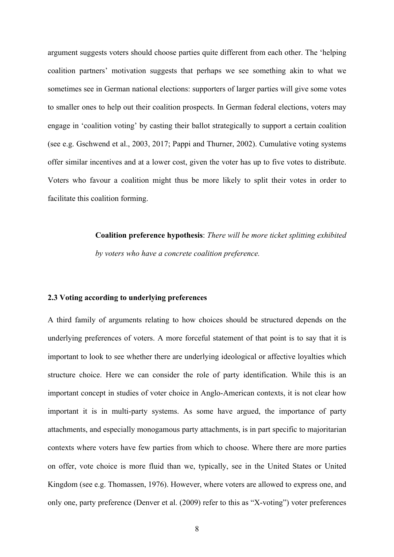argument suggests voters should choose parties quite different from each other. The 'helping coalition partners' motivation suggests that perhaps we see something akin to what we sometimes see in German national elections: supporters of larger parties will give some votes to smaller ones to help out their coalition prospects. In German federal elections, voters may engage in 'coalition voting' by casting their ballot strategically to support a certain coalition (see e.g. Gschwend et al., 2003, 2017; Pappi and Thurner, 2002). Cumulative voting systems offer similar incentives and at a lower cost, given the voter has up to five votes to distribute. Voters who favour a coalition might thus be more likely to split their votes in order to facilitate this coalition forming.

> **Coalition preference hypothesis**: *There will be more ticket splitting exhibited by voters who have a concrete coalition preference.*

#### **2.3 Voting according to underlying preferences**

A third family of arguments relating to how choices should be structured depends on the underlying preferences of voters. A more forceful statement of that point is to say that it is important to look to see whether there are underlying ideological or affective loyalties which structure choice. Here we can consider the role of party identification. While this is an important concept in studies of voter choice in Anglo-American contexts, it is not clear how important it is in multi-party systems. As some have argued, the importance of party attachments, and especially monogamous party attachments, is in part specific to majoritarian contexts where voters have few parties from which to choose. Where there are more parties on offer, vote choice is more fluid than we, typically, see in the United States or United Kingdom (see e.g. Thomassen, 1976). However, where voters are allowed to express one, and only one, party preference (Denver et al. (2009) refer to this as "X-voting") voter preferences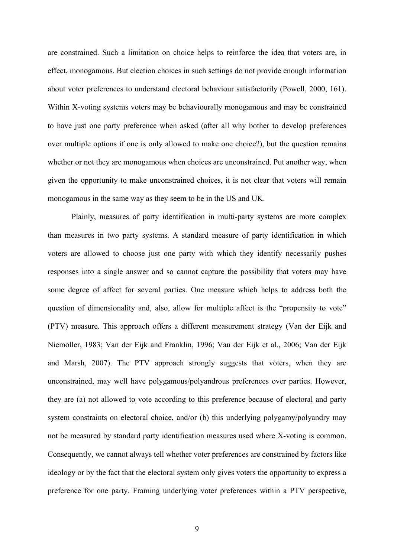are constrained. Such a limitation on choice helps to reinforce the idea that voters are, in effect, monogamous. But election choices in such settings do not provide enough information about voter preferences to understand electoral behaviour satisfactorily (Powell, 2000, 161). Within X-voting systems voters may be behaviourally monogamous and may be constrained to have just one party preference when asked (after all why bother to develop preferences over multiple options if one is only allowed to make one choice?), but the question remains whether or not they are monogamous when choices are unconstrained. Put another way, when given the opportunity to make unconstrained choices, it is not clear that voters will remain monogamous in the same way as they seem to be in the US and UK.

Plainly, measures of party identification in multi-party systems are more complex than measures in two party systems. A standard measure of party identification in which voters are allowed to choose just one party with which they identify necessarily pushes responses into a single answer and so cannot capture the possibility that voters may have some degree of affect for several parties. One measure which helps to address both the question of dimensionality and, also, allow for multiple affect is the "propensity to vote" (PTV) measure. This approach offers a different measurement strategy (Van der Eijk and Niemoller, 1983; Van der Eijk and Franklin, 1996; Van der Eijk et al., 2006; Van der Eijk and Marsh, 2007). The PTV approach strongly suggests that voters, when they are unconstrained, may well have polygamous/polyandrous preferences over parties. However, they are (a) not allowed to vote according to this preference because of electoral and party system constraints on electoral choice, and/or (b) this underlying polygamy/polyandry may not be measured by standard party identification measures used where X-voting is common. Consequently, we cannot always tell whether voter preferences are constrained by factors like ideology or by the fact that the electoral system only gives voters the opportunity to express a preference for one party. Framing underlying voter preferences within a PTV perspective,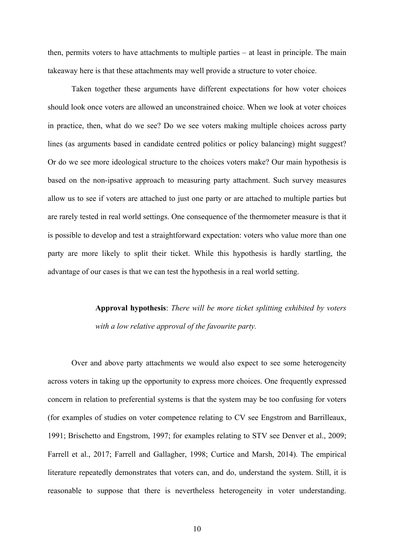then, permits voters to have attachments to multiple parties – at least in principle. The main takeaway here is that these attachments may well provide a structure to voter choice.

Taken together these arguments have different expectations for how voter choices should look once voters are allowed an unconstrained choice. When we look at voter choices in practice, then, what do we see? Do we see voters making multiple choices across party lines (as arguments based in candidate centred politics or policy balancing) might suggest? Or do we see more ideological structure to the choices voters make? Our main hypothesis is based on the non-ipsative approach to measuring party attachment. Such survey measures allow us to see if voters are attached to just one party or are attached to multiple parties but are rarely tested in real world settings. One consequence of the thermometer measure is that it is possible to develop and test a straightforward expectation: voters who value more than one party are more likely to split their ticket. While this hypothesis is hardly startling, the advantage of our cases is that we can test the hypothesis in a real world setting.

> **Approval hypothesis**: *There will be more ticket splitting exhibited by voters with a low relative approval of the favourite party.*

Over and above party attachments we would also expect to see some heterogeneity across voters in taking up the opportunity to express more choices. One frequently expressed concern in relation to preferential systems is that the system may be too confusing for voters (for examples of studies on voter competence relating to CV see Engstrom and Barrilleaux, 1991; Brischetto and Engstrom, 1997; for examples relating to STV see Denver et al., 2009; Farrell et al., 2017; Farrell and Gallagher, 1998; Curtice and Marsh, 2014). The empirical literature repeatedly demonstrates that voters can, and do, understand the system. Still, it is reasonable to suppose that there is nevertheless heterogeneity in voter understanding.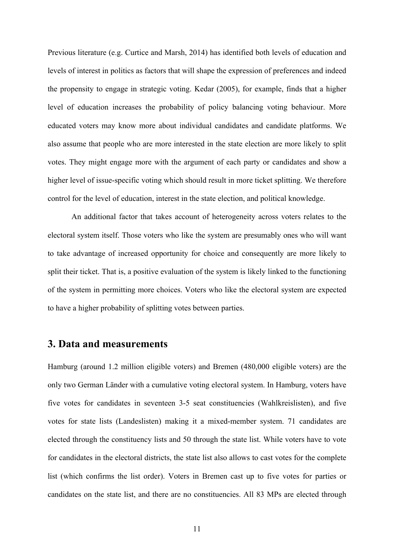Previous literature (e.g. Curtice and Marsh, 2014) has identified both levels of education and levels of interest in politics as factors that will shape the expression of preferences and indeed the propensity to engage in strategic voting. Kedar (2005), for example, finds that a higher level of education increases the probability of policy balancing voting behaviour. More educated voters may know more about individual candidates and candidate platforms. We also assume that people who are more interested in the state election are more likely to split votes. They might engage more with the argument of each party or candidates and show a higher level of issue-specific voting which should result in more ticket splitting. We therefore control for the level of education, interest in the state election, and political knowledge.

An additional factor that takes account of heterogeneity across voters relates to the electoral system itself. Those voters who like the system are presumably ones who will want to take advantage of increased opportunity for choice and consequently are more likely to split their ticket. That is, a positive evaluation of the system is likely linked to the functioning of the system in permitting more choices. Voters who like the electoral system are expected to have a higher probability of splitting votes between parties.

## **3. Data and measurements**

Hamburg (around 1.2 million eligible voters) and Bremen (480,000 eligible voters) are the only two German Länder with a cumulative voting electoral system. In Hamburg, voters have five votes for candidates in seventeen 3-5 seat constituencies (Wahlkreislisten), and five votes for state lists (Landeslisten) making it a mixed-member system. 71 candidates are elected through the constituency lists and 50 through the state list. While voters have to vote for candidates in the electoral districts, the state list also allows to cast votes for the complete list (which confirms the list order). Voters in Bremen cast up to five votes for parties or candidates on the state list, and there are no constituencies. All 83 MPs are elected through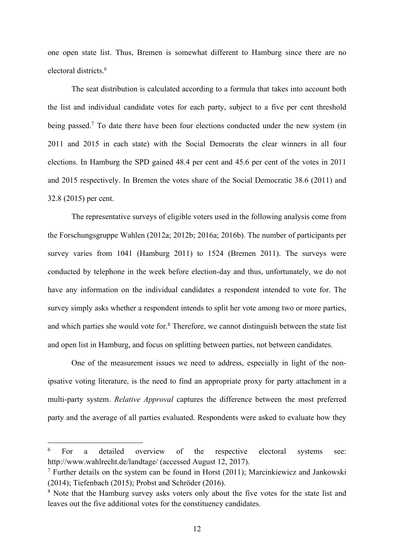one open state list. Thus, Bremen is somewhat different to Hamburg since there are no electoral districts.6

The seat distribution is calculated according to a formula that takes into account both the list and individual candidate votes for each party, subject to a five per cent threshold being passed.<sup>7</sup> To date there have been four elections conducted under the new system (in 2011 and 2015 in each state) with the Social Democrats the clear winners in all four elections. In Hamburg the SPD gained 48.4 per cent and 45.6 per cent of the votes in 2011 and 2015 respectively. In Bremen the votes share of the Social Democratic 38.6 (2011) and 32.8 (2015) per cent.

The representative surveys of eligible voters used in the following analysis come from the Forschungsgruppe Wahlen (2012a; 2012b; 2016a; 2016b). The number of participants per survey varies from 1041 (Hamburg 2011) to 1524 (Bremen 2011). The surveys were conducted by telephone in the week before election-day and thus, unfortunately, we do not have any information on the individual candidates a respondent intended to vote for. The survey simply asks whether a respondent intends to split her vote among two or more parties, and which parties she would vote for. <sup>8</sup> Therefore, we cannot distinguish between the state list and open list in Hamburg, and focus on splitting between parties, not between candidates.

One of the measurement issues we need to address, especially in light of the nonipsative voting literature, is the need to find an appropriate proxy for party attachment in a multi-party system. *Relative Approval* captures the difference between the most preferred party and the average of all parties evaluated. Respondents were asked to evaluate how they

 <sup>6</sup> For a detailed overview of the respective electoral systems see: http://www.wahlrecht.de/landtage/ (accessed August 12, 2017).

 $7$  Further details on the system can be found in Horst (2011); Marcinkiewicz and Jankowski (2014); Tiefenbach (2015); Probst and Schröder (2016).

<sup>&</sup>lt;sup>8</sup> Note that the Hamburg survey asks voters only about the five votes for the state list and leaves out the five additional votes for the constituency candidates.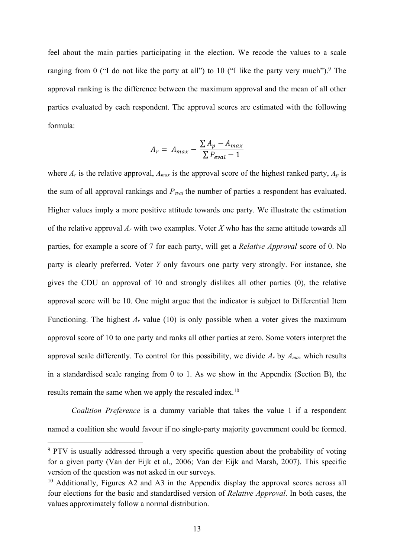feel about the main parties participating in the election. We recode the values to a scale ranging from 0 ("I do not like the party at all") to 10 ("I like the party very much"). $9$  The approval ranking is the difference between the maximum approval and the mean of all other parties evaluated by each respondent. The approval scores are estimated with the following formula:

$$
A_r = A_{max} - \frac{\sum A_p - A_{max}}{\sum P_{eval} - 1}
$$

where  $A_r$  is the relative approval,  $A_{max}$  is the approval score of the highest ranked party,  $A_p$  is the sum of all approval rankings and *Peval* the number of parties a respondent has evaluated. Higher values imply a more positive attitude towards one party. We illustrate the estimation of the relative approval *Ar* with two examples. Voter *X* who has the same attitude towards all parties, for example a score of 7 for each party, will get a *Relative Approval* score of 0. No party is clearly preferred. Voter *Y* only favours one party very strongly. For instance, she gives the CDU an approval of 10 and strongly dislikes all other parties (0), the relative approval score will be 10. One might argue that the indicator is subject to Differential Item Functioning. The highest  $A_r$  value (10) is only possible when a voter gives the maximum approval score of 10 to one party and ranks all other parties at zero. Some voters interpret the approval scale differently. To control for this possibility, we divide *Ar* by *Amax* which results in a standardised scale ranging from 0 to 1. As we show in the Appendix (Section B), the results remain the same when we apply the rescaled index.<sup>10</sup>

*Coalition Preference* is a dummy variable that takes the value 1 if a respondent named a coalition she would favour if no single-party majority government could be formed.

<sup>&</sup>lt;sup>9</sup> PTV is usually addressed through a very specific question about the probability of voting for a given party (Van der Eijk et al., 2006; Van der Eijk and Marsh, 2007). This specific version of the question was not asked in our surveys.

<sup>&</sup>lt;sup>10</sup> Additionally, Figures A2 and A3 in the Appendix display the approval scores across all four elections for the basic and standardised version of *Relative Approval*. In both cases, the values approximately follow a normal distribution.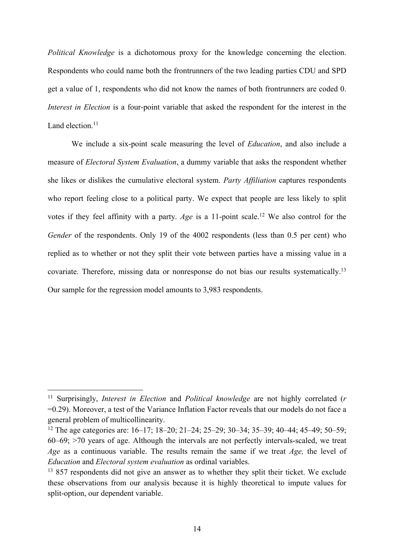*Political Knowledge* is a dichotomous proxy for the knowledge concerning the election. Respondents who could name both the frontrunners of the two leading parties CDU and SPD get a value of 1, respondents who did not know the names of both frontrunners are coded 0. *Interest in Election* is a four-point variable that asked the respondent for the interest in the Land election<sup>11</sup>

We include a six-point scale measuring the level of *Education*, and also include a measure of *Electoral System Evaluation*, a dummy variable that asks the respondent whether she likes or dislikes the cumulative electoral system. *Party Affiliation* captures respondents who report feeling close to a political party. We expect that people are less likely to split votes if they feel affinity with a party. *Age* is a 11-point scale.<sup>12</sup> We also control for the *Gender* of the respondents. Only 19 of the 4002 respondents (less than 0.5 per cent) who replied as to whether or not they split their vote between parties have a missing value in a covariate. Therefore, missing data or nonresponse do not bias our results systematically.13 Our sample for the regression model amounts to 3,983 respondents.

 <sup>11</sup> Surprisingly, *Interest in Election* and *Political knowledge* are not highly correlated (*<sup>r</sup>* =0.29). Moreover, a test of the Variance Inflation Factor reveals that our models do not face a general problem of multicollinearity.

<sup>12</sup> The age categories are: 16–17; 18–20; 21–24; 25–29; 30–34; 35–39; 40–44; 45–49; 50–59; 60–69; >70 years of age. Although the intervals are not perfectly intervals-scaled, we treat *Age* as a continuous variable. The results remain the same if we treat *Age,* the level of *Education* and *Electoral system evaluation* as ordinal variables.

<sup>&</sup>lt;sup>13</sup> 857 respondents did not give an answer as to whether they split their ticket. We exclude these observations from our analysis because it is highly theoretical to impute values for split-option, our dependent variable.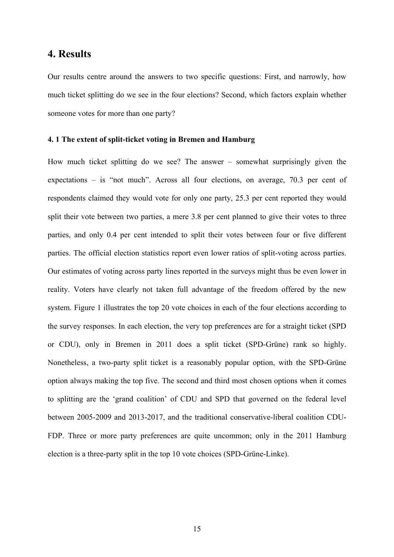### **4. Results**

Our results centre around the answers to two specific questions: First, and narrowly, how much ticket splitting do we see in the four elections? Second, which factors explain whether someone votes for more than one party?

### **4. 1 The extent of split-ticket voting in Bremen and Hamburg**

How much ticket splitting do we see? The answer – somewhat surprisingly given the expectations – is "not much". Across all four elections, on average, 70.3 per cent of respondents claimed they would vote for only one party, 25.3 per cent reported they would split their vote between two parties, a mere 3.8 per cent planned to give their votes to three parties, and only 0.4 per cent intended to split their votes between four or five different parties. The official election statistics report even lower ratios of split-voting across parties. Our estimates of voting across party lines reported in the surveys might thus be even lower in reality. Voters have clearly not taken full advantage of the freedom offered by the new system. Figure 1 illustrates the top 20 vote choices in each of the four elections according to the survey responses. In each election, the very top preferences are for a straight ticket (SPD or CDU), only in Bremen in 2011 does a split ticket (SPD-Grüne) rank so highly. Nonetheless, a two-party split ticket is a reasonably popular option, with the SPD-Grüne option always making the top five. The second and third most chosen options when it comes to splitting are the 'grand coalition' of CDU and SPD that governed on the federal level between 2005-2009 and 2013-2017, and the traditional conservative-liberal coalition CDU-FDP. Three or more party preferences are quite uncommon; only in the 2011 Hamburg election is a three-party split in the top 10 vote choices (SPD-Grüne-Linke).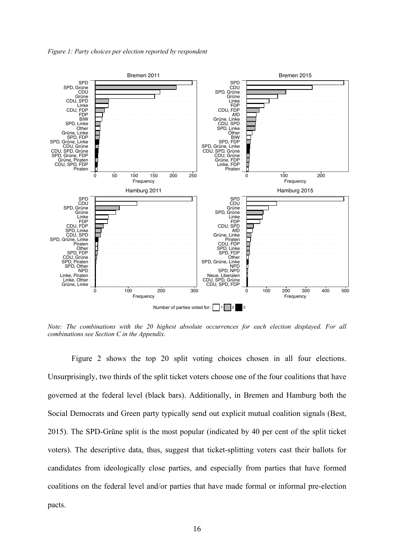*Figure 1: Party choices per election reported by respondent*



*Note: The combinations with the 20 highest absolute occurrences for each election displayed. For all combinations see Section C in the Appendix.*

Figure 2 shows the top 20 split voting choices chosen in all four elections. Unsurprisingly, two thirds of the split ticket voters choose one of the four coalitions that have governed at the federal level (black bars). Additionally, in Bremen and Hamburg both the Social Democrats and Green party typically send out explicit mutual coalition signals (Best, 2015). The SPD-Grüne split is the most popular (indicated by 40 per cent of the split ticket voters). The descriptive data, thus, suggest that ticket-splitting voters cast their ballots for candidates from ideologically close parties, and especially from parties that have formed coalitions on the federal level and/or parties that have made formal or informal pre-election pacts.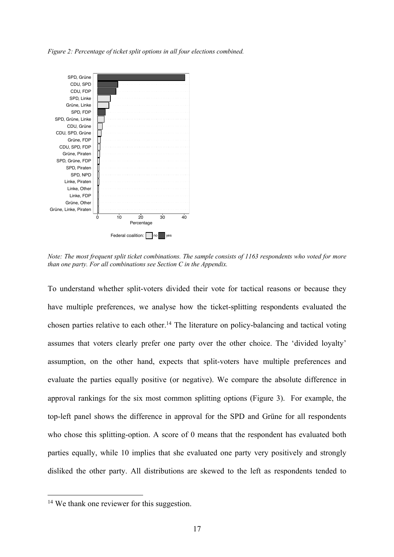*Figure 2: Percentage of ticket split options in all four elections combined.*



*Note: The most frequent split ticket combinations. The sample consists of 1163 respondents who voted for more than one party. For all combinations see Section C in the Appendix.*

To understand whether split-voters divided their vote for tactical reasons or because they have multiple preferences, we analyse how the ticket-splitting respondents evaluated the chosen parties relative to each other.<sup>14</sup> The literature on policy-balancing and tactical voting assumes that voters clearly prefer one party over the other choice. The 'divided loyalty' assumption, on the other hand, expects that split-voters have multiple preferences and evaluate the parties equally positive (or negative). We compare the absolute difference in approval rankings for the six most common splitting options (Figure 3). For example, the top-left panel shows the difference in approval for the SPD and Grüne for all respondents who chose this splitting-option. A score of 0 means that the respondent has evaluated both parties equally, while 10 implies that she evaluated one party very positively and strongly disliked the other party. All distributions are skewed to the left as respondents tended to

<sup>&</sup>lt;sup>14</sup> We thank one reviewer for this suggestion.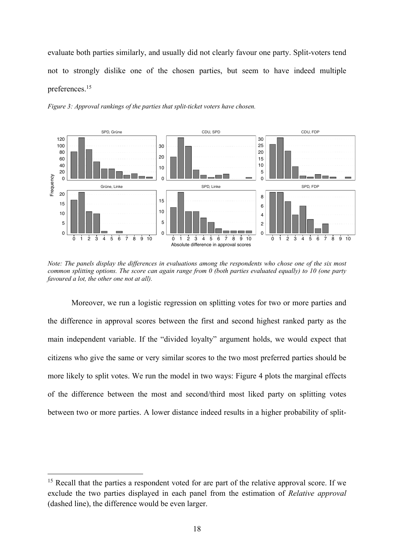evaluate both parties similarly, and usually did not clearly favour one party. Split-voters tend not to strongly dislike one of the chosen parties, but seem to have indeed multiple preferences.15



*Figure 3: Approval rankings of the parties that split-ticket voters have chosen.*

*Note: The panels display the differences in evaluations among the respondents who chose one of the six most common splitting options. The score can again range from 0 (both parties evaluated equally) to 10 (one party favoured a lot, the other one not at all).*

Moreover, we run a logistic regression on splitting votes for two or more parties and the difference in approval scores between the first and second highest ranked party as the main independent variable. If the "divided loyalty" argument holds, we would expect that citizens who give the same or very similar scores to the two most preferred parties should be more likely to split votes. We run the model in two ways: Figure 4 plots the marginal effects of the difference between the most and second/third most liked party on splitting votes between two or more parties. A lower distance indeed results in a higher probability of split-

<sup>&</sup>lt;sup>15</sup> Recall that the parties a respondent voted for are part of the relative approval score. If we exclude the two parties displayed in each panel from the estimation of *Relative approval* (dashed line), the difference would be even larger.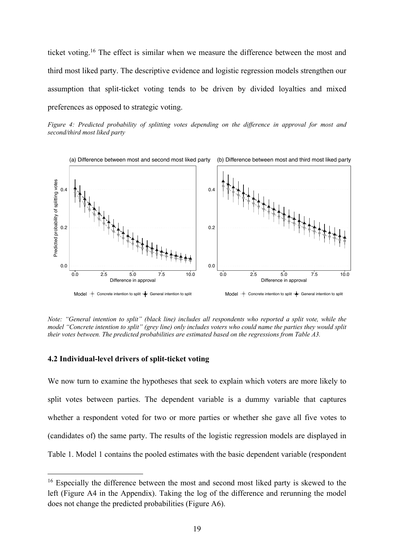ticket voting.16 The effect is similar when we measure the difference between the most and third most liked party. The descriptive evidence and logistic regression models strengthen our assumption that split-ticket voting tends to be driven by divided loyalties and mixed preferences as opposed to strategic voting.





*Note: "General intention to split" (black line) includes all respondents who reported a split vote, while the model "Concrete intention to split" (grey line) only includes voters who could name the parties they would split their votes between. The predicted probabilities are estimated based on the regressions from Table A3.*

### **4.2 Individual-level drivers of split-ticket voting**

We now turn to examine the hypotheses that seek to explain which voters are more likely to split votes between parties. The dependent variable is a dummy variable that captures whether a respondent voted for two or more parties or whether she gave all five votes to (candidates of) the same party. The results of the logistic regression models are displayed in Table 1. Model 1 contains the pooled estimates with the basic dependent variable (respondent

<sup>&</sup>lt;sup>16</sup> Especially the difference between the most and second most liked party is skewed to the left (Figure A4 in the Appendix). Taking the log of the difference and rerunning the model does not change the predicted probabilities (Figure A6).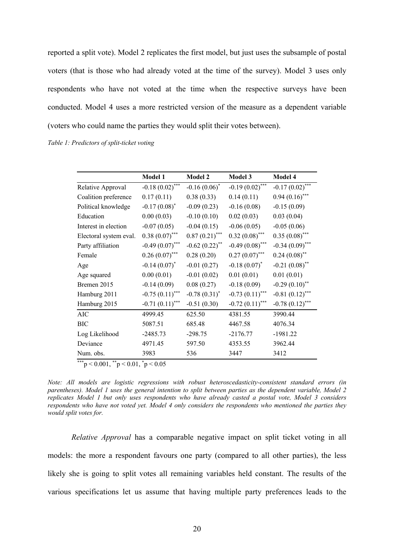reported a split vote). Model 2 replicates the first model, but just uses the subsample of postal voters (that is those who had already voted at the time of the survey). Model 3 uses only respondents who have not voted at the time when the respective surveys have been conducted. Model 4 uses a more restricted version of the measure as a dependent variable (voters who could name the parties they would split their votes between).

*Table 1: Predictors of split-ticket voting*

|                        | <b>Model 1</b>    | <b>Model 2</b>                 | Model 3           | Model 4           |
|------------------------|-------------------|--------------------------------|-------------------|-------------------|
| Relative Approval      | $-0.18(0.02)$ *** | $-0.16(0.06)^*$                | $-0.19(0.02)$ *** | $-0.17(0.02)$ *** |
| Coalition preference   | 0.17(0.11)        | 0.38(0.33)                     | 0.14(0.11)        | $0.94(0.16)$ ***  |
| Political knowledge    | $-0.17(0.08)^*$   | $-0.09(0.23)$                  | $-0.16(0.08)$     | $-0.15(0.09)$     |
| Education              | 0.00(0.03)        | $-0.10(0.10)$                  | 0.02(0.03)        | 0.03(0.04)        |
| Interest in election   | $-0.07(0.05)$     | $-0.04(0.15)$                  | $-0.06(0.05)$     | $-0.05(0.06)$     |
| Electoral system eval. | $0.38(0.07)$ ***  | $0.87(0.21)$ ***               | $0.32(0.08)$ ***  | $0.35(0.08)$ ***  |
| Party affiliation      | $-0.49(0.07)$ *** | $-0.62$ $(0.22)$ <sup>**</sup> | $-0.49(0.08)$ *** | $-0.34(0.09)$ *** |
| Female                 | $0.26(0.07)$ ***  | 0.28(0.20)                     | $0.27(0.07)$ ***  | $0.24(0.08)$ **   |
| Age                    | $-0.14(0.07)^{*}$ | $-0.01(0.27)$                  | $-0.18(0.07)^*$   | $-0.21(0.08)$ **  |
| Age squared            | 0.00(0.01)        | $-0.01(0.02)$                  | 0.01(0.01)        | 0.01(0.01)        |
| Bremen 2015            | $-0.14(0.09)$     | 0.08(0.27)                     | $-0.18(0.09)$     | $-0.29(0.10)$ **  |
| Hamburg 2011           | $-0.75(0.11)$ *** | $-0.78(0.31)^{*}$              | $-0.73(0.11)$ *** | $-0.81(0.12)$ *** |
| Hamburg 2015           | $-0.71(0.11)$ *** | $-0.51(0.30)$                  | $-0.72(0.11)$ *** | $-0.78(0.12)$ *** |
| AIC                    | 4999.45           | 625.50                         | 4381.55           | 3990.44           |
| ВIС                    | 5087.51           | 685.48                         | 4467.58           | 4076.34           |
| Log Likelihood         | $-2485.73$        | $-298.75$                      | $-2176.77$        | $-1981.22$        |
| Deviance               | 4971.45           | 597.50                         | 4353.55           | 3962.44           |
| Num. obs.              | 3983              | 536                            | 3447              | 3412              |

\*\*\*p < 0.001,  $*$ <sup>\*</sup>p < 0.01,  $*$ p < 0.05

*Note: All models are logistic regressions with robust heteroscedasticity-consistent standard errors (in parentheses). Model 1 uses the general intention to split between parties as the dependent variable, Model 2 replicates Model 1 but only uses respondents who have already casted a postal vote, Model 3 considers respondents who have not voted yet. Model 4 only considers the respondents who mentioned the parties they would split votes for.*

*Relative Approval* has a comparable negative impact on split ticket voting in all models: the more a respondent favours one party (compared to all other parties), the less likely she is going to split votes all remaining variables held constant. The results of the various specifications let us assume that having multiple party preferences leads to the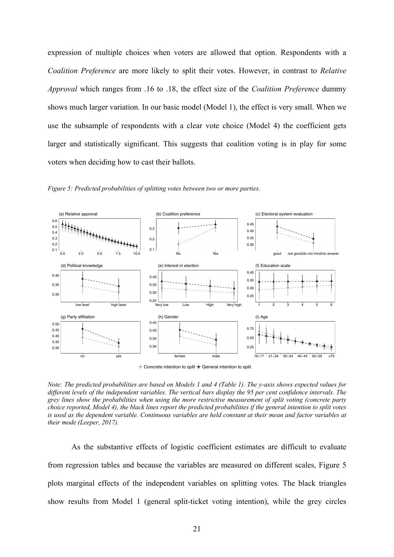expression of multiple choices when voters are allowed that option. Respondents with a *Coalition Preference* are more likely to split their votes. However, in contrast to *Relative Approval* which ranges from .16 to .18, the effect size of the *Coalition Preference* dummy shows much larger variation. In our basic model (Model 1), the effect is very small. When we use the subsample of respondents with a clear vote choice (Model 4) the coefficient gets larger and statistically significant. This suggests that coalition voting is in play for some voters when deciding how to cast their ballots.



*Figure 5: Predicted probabilities of splitting votes between two or more parties.*

 $+$  Concrete intention to split  $+$  General intention to split

*Note: The predicted probabilities are based on Models 1 and 4 (Table 1). The y-axis shows expected values for different levels of the independent variables. The vertical bars display the 95 per cent confidence intervals. The grey lines show the probabilities when using the more restrictive measurement of split voting (concrete party choice reported, Model 4), the black lines report the predicted probabilities if the general intention to split votes is used as the dependent variable. Continuous variables are held constant at their mean and factor variables at their mode (Leeper, 2017).* 

As the substantive effects of logistic coefficient estimates are difficult to evaluate from regression tables and because the variables are measured on different scales, Figure 5 plots marginal effects of the independent variables on splitting votes. The black triangles show results from Model 1 (general split-ticket voting intention), while the grey circles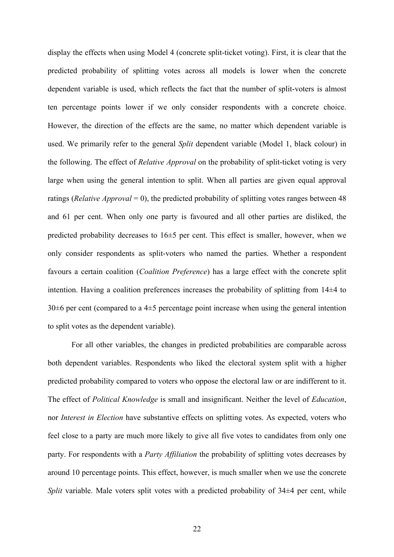display the effects when using Model 4 (concrete split-ticket voting). First, it is clear that the predicted probability of splitting votes across all models is lower when the concrete dependent variable is used, which reflects the fact that the number of split-voters is almost ten percentage points lower if we only consider respondents with a concrete choice. However, the direction of the effects are the same, no matter which dependent variable is used. We primarily refer to the general *Split* dependent variable (Model 1, black colour) in the following. The effect of *Relative Approval* on the probability of split-ticket voting is very large when using the general intention to split. When all parties are given equal approval ratings (*Relative Approval* = 0), the predicted probability of splitting votes ranges between 48 and 61 per cent. When only one party is favoured and all other parties are disliked, the predicted probability decreases to 16±5 per cent. This effect is smaller, however, when we only consider respondents as split-voters who named the parties. Whether a respondent favours a certain coalition (*Coalition Preference*) has a large effect with the concrete split intention. Having a coalition preferences increases the probability of splitting from 14±4 to 30±6 per cent (compared to a 4±5 percentage point increase when using the general intention to split votes as the dependent variable).

For all other variables, the changes in predicted probabilities are comparable across both dependent variables. Respondents who liked the electoral system split with a higher predicted probability compared to voters who oppose the electoral law or are indifferent to it. The effect of *Political Knowledge* is small and insignificant. Neither the level of *Education*, nor *Interest in Election* have substantive effects on splitting votes. As expected, voters who feel close to a party are much more likely to give all five votes to candidates from only one party. For respondents with a *Party Affiliation* the probability of splitting votes decreases by around 10 percentage points. This effect, however, is much smaller when we use the concrete *Split* variable. Male voters split votes with a predicted probability of 34 $\pm$ 4 per cent, while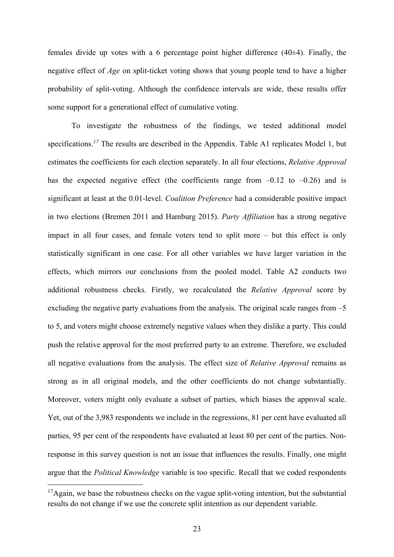females divide up votes with a 6 percentage point higher difference  $(40\pm4)$ . Finally, the negative effect of *Age* on split-ticket voting shows that young people tend to have a higher probability of split-voting. Although the confidence intervals are wide, these results offer some support for a generational effect of cumulative voting.

To investigate the robustness of the findings, we tested additional model specifications.<sup>17</sup> The results are described in the Appendix. Table A1 replicates Model 1, but estimates the coefficients for each election separately. In all four elections, *Relative Approval* has the expected negative effect (the coefficients range from  $-0.12$  to  $-0.26$ ) and is significant at least at the 0.01-level. *Coalition Preference* had a considerable positive impact in two elections (Bremen 2011 and Hamburg 2015). *Party Affiliation* has a strong negative impact in all four cases, and female voters tend to split more – but this effect is only statistically significant in one case. For all other variables we have larger variation in the effects, which mirrors our conclusions from the pooled model. Table A2 conducts two additional robustness checks. Firstly, we recalculated the *Relative Approval* score by excluding the negative party evaluations from the analysis. The original scale ranges from  $-5$ to 5, and voters might choose extremely negative values when they dislike a party. This could push the relative approval for the most preferred party to an extreme. Therefore, we excluded all negative evaluations from the analysis. The effect size of *Relative Approval* remains as strong as in all original models, and the other coefficients do not change substantially. Moreover, voters might only evaluate a subset of parties, which biases the approval scale. Yet, out of the 3,983 respondents we include in the regressions, 81 per cent have evaluated all parties, 95 per cent of the respondents have evaluated at least 80 per cent of the parties. Nonresponse in this survey question is not an issue that influences the results. Finally, one might argue that the *Political Knowledge* variable is too specific. Recall that we coded respondents

 $17$ Again, we base the robustness checks on the vague split-voting intention, but the substantial results do not change if we use the concrete split intention as our dependent variable.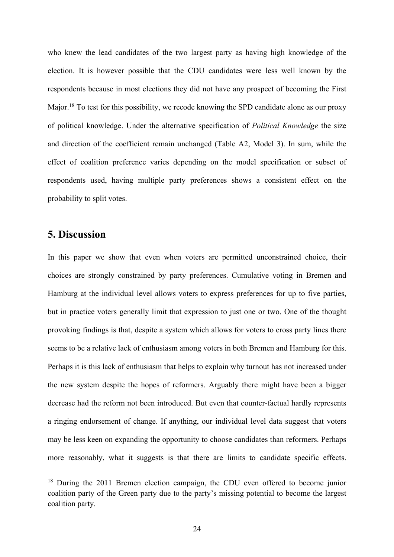who knew the lead candidates of the two largest party as having high knowledge of the election. It is however possible that the CDU candidates were less well known by the respondents because in most elections they did not have any prospect of becoming the First Major.<sup>18</sup> To test for this possibility, we recode knowing the SPD candidate alone as our proxy of political knowledge. Under the alternative specification of *Political Knowledge* the size and direction of the coefficient remain unchanged (Table A2, Model 3). In sum, while the effect of coalition preference varies depending on the model specification or subset of respondents used, having multiple party preferences shows a consistent effect on the probability to split votes.

### **5. Discussion**

In this paper we show that even when voters are permitted unconstrained choice, their choices are strongly constrained by party preferences. Cumulative voting in Bremen and Hamburg at the individual level allows voters to express preferences for up to five parties, but in practice voters generally limit that expression to just one or two. One of the thought provoking findings is that, despite a system which allows for voters to cross party lines there seems to be a relative lack of enthusiasm among voters in both Bremen and Hamburg for this. Perhaps it is this lack of enthusiasm that helps to explain why turnout has not increased under the new system despite the hopes of reformers. Arguably there might have been a bigger decrease had the reform not been introduced. But even that counter-factual hardly represents a ringing endorsement of change. If anything, our individual level data suggest that voters may be less keen on expanding the opportunity to choose candidates than reformers. Perhaps more reasonably, what it suggests is that there are limits to candidate specific effects.

<sup>&</sup>lt;sup>18</sup> During the 2011 Bremen election campaign, the CDU even offered to become junior coalition party of the Green party due to the party's missing potential to become the largest coalition party.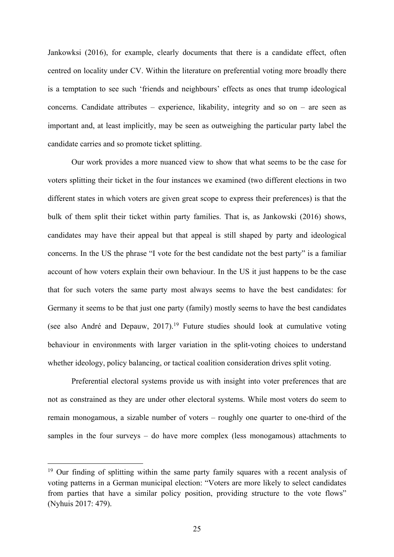Jankowksi (2016), for example, clearly documents that there is a candidate effect, often centred on locality under CV. Within the literature on preferential voting more broadly there is a temptation to see such 'friends and neighbours' effects as ones that trump ideological concerns. Candidate attributes – experience, likability, integrity and so on – are seen as important and, at least implicitly, may be seen as outweighing the particular party label the candidate carries and so promote ticket splitting.

Our work provides a more nuanced view to show that what seems to be the case for voters splitting their ticket in the four instances we examined (two different elections in two different states in which voters are given great scope to express their preferences) is that the bulk of them split their ticket within party families. That is, as Jankowski (2016) shows, candidates may have their appeal but that appeal is still shaped by party and ideological concerns. In the US the phrase "I vote for the best candidate not the best party" is a familiar account of how voters explain their own behaviour. In the US it just happens to be the case that for such voters the same party most always seems to have the best candidates: for Germany it seems to be that just one party (family) mostly seems to have the best candidates (see also André and Depauw,  $2017$ ).<sup>19</sup> Future studies should look at cumulative voting behaviour in environments with larger variation in the split-voting choices to understand whether ideology, policy balancing, or tactical coalition consideration drives split voting.

Preferential electoral systems provide us with insight into voter preferences that are not as constrained as they are under other electoral systems. While most voters do seem to remain monogamous, a sizable number of voters – roughly one quarter to one-third of the samples in the four surveys – do have more complex (less monogamous) attachments to

<sup>&</sup>lt;sup>19</sup> Our finding of splitting within the same party family squares with a recent analysis of voting patterns in a German municipal election: "Voters are more likely to select candidates from parties that have a similar policy position, providing structure to the vote flows" (Nyhuis 2017: 479).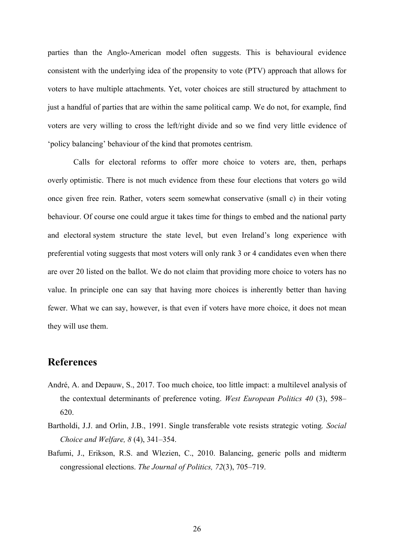parties than the Anglo-American model often suggests. This is behavioural evidence consistent with the underlying idea of the propensity to vote (PTV) approach that allows for voters to have multiple attachments. Yet, voter choices are still structured by attachment to just a handful of parties that are within the same political camp. We do not, for example, find voters are very willing to cross the left/right divide and so we find very little evidence of 'policy balancing' behaviour of the kind that promotes centrism.

Calls for electoral reforms to offer more choice to voters are, then, perhaps overly optimistic. There is not much evidence from these four elections that voters go wild once given free rein. Rather, voters seem somewhat conservative (small c) in their voting behaviour. Of course one could argue it takes time for things to embed and the national party and electoral system structure the state level, but even Ireland's long experience with preferential voting suggests that most voters will only rank 3 or 4 candidates even when there are over 20 listed on the ballot. We do not claim that providing more choice to voters has no value. In principle one can say that having more choices is inherently better than having fewer. What we can say, however, is that even if voters have more choice, it does not mean they will use them.

### **References**

- André, A. and Depauw, S., 2017. Too much choice, too little impact: a multilevel analysis of the contextual determinants of preference voting. *West European Politics 40* (3), 598– 620.
- Bartholdi, J.J. and Orlin, J.B., 1991. Single transferable vote resists strategic voting*. Social Choice and Welfare, 8* (4), 341–354.
- Bafumi, J., Erikson, R.S. and Wlezien, C., 2010. Balancing, generic polls and midterm congressional elections. *The Journal of Politics, 72*(3), 705–719.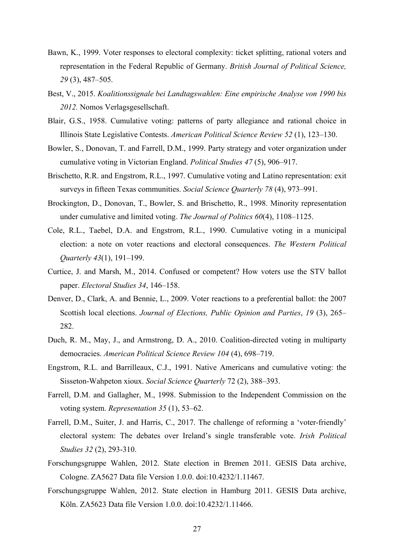- Bawn, K., 1999. Voter responses to electoral complexity: ticket splitting, rational voters and representation in the Federal Republic of Germany. *British Journal of Political Science, 29* (3), 487–505.
- Best, V., 2015. *Koalitionssignale bei Landtagswahlen: Eine empirische Analyse von 1990 bis 2012.* Nomos Verlagsgesellschaft.
- Blair, G.S., 1958. Cumulative voting: patterns of party allegiance and rational choice in Illinois State Legislative Contests. *American Political Science Review 52* (1), 123–130.
- Bowler, S., Donovan, T. and Farrell, D.M., 1999. Party strategy and voter organization under cumulative voting in Victorian England. *Political Studies 47* (5), 906–917.
- Brischetto, R.R. and Engstrom, R.L., 1997. Cumulative voting and Latino representation: exit surveys in fifteen Texas communities. *Social Science Quarterly 78* (4), 973–991.
- Brockington, D., Donovan, T., Bowler, S. and Brischetto, R., 1998. Minority representation under cumulative and limited voting. *The Journal of Politics 60*(4), 1108–1125.
- Cole, R.L., Taebel, D.A. and Engstrom, R.L., 1990. Cumulative voting in a municipal election: a note on voter reactions and electoral consequences. *The Western Political Quarterly 43*(1), 191–199.
- Curtice, J. and Marsh, M., 2014. Confused or competent? How voters use the STV ballot paper. *Electoral Studies 34*, 146–158.
- Denver, D., Clark, A. and Bennie, L., 2009. Voter reactions to a preferential ballot: the 2007 Scottish local elections. *Journal of Elections, Public Opinion and Parties*, *19* (3), 265– 282.
- Duch, R. M., May, J., and Armstrong, D. A., 2010. Coalition-directed voting in multiparty democracies. *American Political Science Review 104* (4), 698–719.
- Engstrom, R.L. and Barrilleaux, C.J., 1991. Native Americans and cumulative voting: the Sisseton-Wahpeton xioux. *Social Science Quarterly* 72 (2), 388–393.
- Farrell, D.M. and Gallagher, M., 1998. Submission to the Independent Commission on the voting system. *Representation 35* (1), 53–62.
- Farrell, D.M., Suiter, J. and Harris, C., 2017. The challenge of reforming a 'voter-friendly' electoral system: The debates over Ireland's single transferable vote. *Irish Political Studies 32* (2), 293-310.
- Forschungsgruppe Wahlen, 2012. State election in Bremen 2011. GESIS Data archive, Cologne. ZA5627 Data file Version 1.0.0. doi:10.4232/1.11467.
- Forschungsgruppe Wahlen, 2012. State election in Hamburg 2011. GESIS Data archive, Köln. ZA5623 Data file Version 1.0.0. doi:10.4232/1.11466.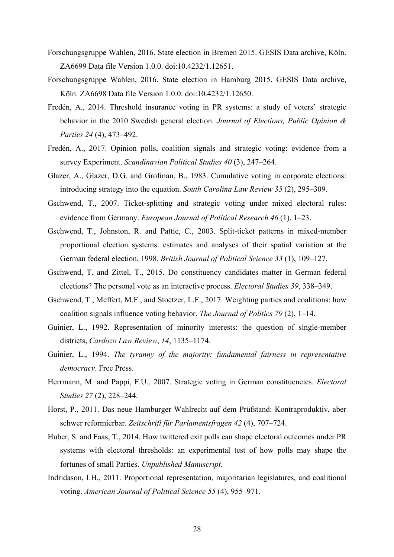- Forschungsgruppe Wahlen, 2016. State election in Bremen 2015. GESIS Data archive, Köln. ZA6699 Data file Version 1.0.0. doi:10.4232/1.12651.
- Forschungsgruppe Wahlen, 2016. State election in Hamburg 2015. GESIS Data archive, Köln. ZA6698 Data file Version 1.0.0. doi:10.4232/1.12650.
- Fredén, A., 2014. Threshold insurance voting in PR systems: a study of voters' strategic behavior in the 2010 Swedish general election. *Journal of Elections, Public Opinion & Parties 24* (4), 473–492.
- Fredén, A., 2017. Opinion polls, coalition signals and strategic voting: evidence from a survey Experiment. *Scandinavian Political Studies 40* (3), 247–264.
- Glazer, A., Glazer, D.G. and Grofman, B., 1983. Cumulative voting in corporate elections: introducing strategy into the equation. *South Carolina Law Review 35* (2), 295–309.
- Gschwend, T., 2007. Ticket-splitting and strategic voting under mixed electoral rules: evidence from Germany. *European Journal of Political Research 46* (1), 1–23.
- Gschwend, T., Johnston, R. and Pattie, C., 2003. Split-ticket patterns in mixed-member proportional election systems: estimates and analyses of their spatial variation at the German federal election, 1998. *British Journal of Political Science 33* (1), 109–127.
- Gschwend, T. and Zittel, T., 2015. Do constituency candidates matter in German federal elections? The personal vote as an interactive process. *Electoral Studies 39*, 338–349.
- Gschwend, T., Meffert, M.F., and Stoetzer, L.F., 2017. Weighting parties and coalitions: how coalition signals influence voting behavior. *The Journal of Politics 79* (2), 1–14.
- Guinier, L., 1992. Representation of minority interests: the question of single-member districts, *Cardozo Law Review*, *14*, 1135–1174.
- Guinier, L., 1994. *The tyranny of the majority: fundamental fairness in representative democracy*. Free Press.
- Herrmann, M. and Pappi, F.U., 2007. Strategic voting in German constituencies. *Electoral Studies 27* (2), 228–244.
- Horst, P., 2011. Das neue Hamburger Wahlrecht auf dem Prüfstand: Kontraproduktiv, aber schwer reformierbar. *Zeitschrift für Parlamentsfragen 42* (4), 707–724.
- Huber, S. and Faas, T., 2014. How twittered exit polls can shape electoral outcomes under PR systems with electoral thresholds: an experimental test of how polls may shape the fortunes of small Parties. *Unpublished Manuscript.*
- Indridason, I.H., 2011. Proportional representation, majoritarian legislatures, and coalitional voting. *American Journal of Political Science 55* (4), 955–971.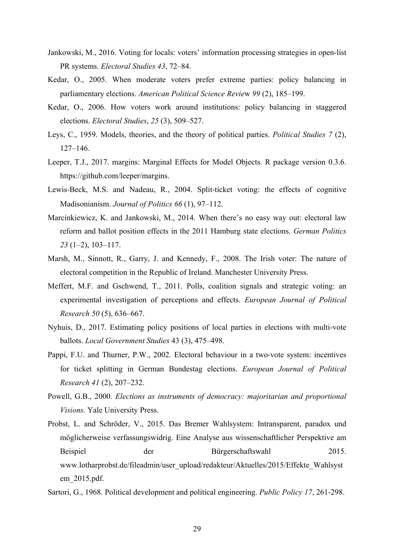- Jankowski, M., 2016. Voting for locals: voters' information processing strategies in open-list PR systems. *Electoral Studies 43*, 72–84.
- Kedar, O., 2005. When moderate voters prefer extreme parties: policy balancing in parliamentary elections. *American Political Science Revie*w *99* (2), 185–199.
- Kedar, O., 2006. How voters work around institutions: policy balancing in staggered elections. *Electoral Studies*, *25* (3), 509–527.
- Leys, C., 1959. Models, theories, and the theory of political parties. *Political Studies 7* (2), 127–146.
- Leeper, T.J., 2017. margins: Marginal Effects for Model Objects. R package version 0.3.6. https://github.com/leeper/margins.
- Lewis-Beck, M.S. and Nadeau, R., 2004. Split-ticket voting: the effects of cognitive Madisonianism. *Journal of Politics 66* (1), 97–112.
- Marcinkiewicz, K. and Jankowski, M., 2014. When there's no easy way out: electoral law reform and ballot position effects in the 2011 Hamburg state elections. *German Politics 23* (1–2), 103–117.
- Marsh, M., Sinnott, R., Garry, J. and Kennedy, F., 2008. The Irish voter: The nature of electoral competition in the Republic of Ireland. Manchester University Press.
- Meffert, M.F. and Gschwend, T., 2011. Polls, coalition signals and strategic voting: an experimental investigation of perceptions and effects. *European Journal of Political Research 50* (5), 636–667.
- Nyhuis, D., 2017. Estimating policy positions of local parties in elections with multi-vote ballots. *Local Government Studies* 43 (3), 475–498.
- Pappi, F.U. and Thurner, P.W., 2002. Electoral behaviour in a two-vote system: incentives for ticket splitting in German Bundestag elections. *European Journal of Political Research 41* (2), 207–232.
- Powell, G.B., 2000. *Elections as instruments of democracy: majoritarian and proportional Visions.* Yale University Press.
- Probst, L. and Schröder, V., 2015. Das Bremer Wahlsystem: Intransparent, paradox und möglicherweise verfassungswidrig. Eine Analyse aus wissenschaftlicher Perspektive am Beispiel der Bürgerschaftswahl 2015. www.lotharprobst.de/fileadmin/user\_upload/redakteur/Aktuelles/2015/Effekte\_Wahlsyst em\_2015.pdf.
- Sartori, G., 1968. Political development and political engineering. *Public Policy 17*, 261-298.